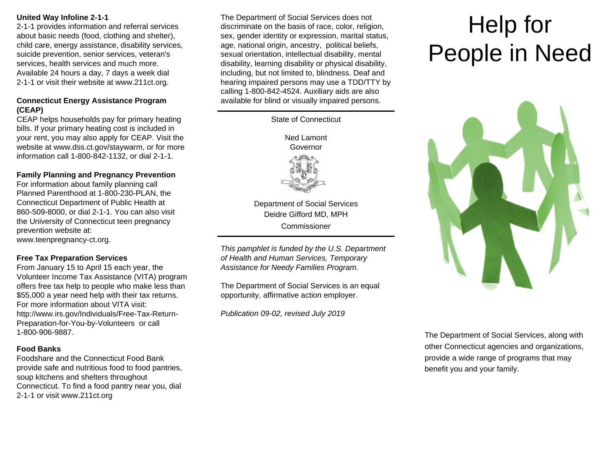# **United Way Infoline 2-1-1**

2-1-1 provides information and referral services about basic needs (food, clothing and shelter), child care, energy assistance, disability services, suicide prevention, senior services, veteran's services, health services and much more. Available 24 hours a day, 7 days a week dial 2-1-1 or visit their website at www.211ct.org.

## **Connecticut Energy Assistance Program (CEAP)**

CEAP helps households pay for primary heating bills. If your primary heating cost is included in your rent, you may also apply for CEAP. Visit the website at www.dss.ct.gov/staywarm, or for more information call 1-800-842-1132, or dial 2-1-1.

# **Family Planning and Pregnancy Prevention**

For information about family planning call Planned Parenthood at 1-800-230-PLAN, the Connecticut Department of Public Health at 860-509-8000, or dial 2-1-1. You can also visit the University of Connecticut teen pregnancy prevention website at: www.teenpregnancy-ct.org.

**Free Tax Preparation Services** 

From January 15 to April 15 each year, the Volunteer Income Tax Assistance (VITA) program offers free tax help to people who make less than \$55,000 a year need help with their tax returns. For more information about VITA visit: http://www.irs.gov/Individuals/Free-Tax-Return-Preparation-for-You-by-Volunteers or call 1-800-906-9887.

# **Food Banks**

Foodshare and the Connecticut Food Bank provide safe and nutritious food to food pantries, soup kitchens and shelters throughout Connecticut. To find a food pantry near you, dial 2-1-1 or visit www.211ct.org

The Department of Social Services does not discriminate on the basis of race, color, religion, sex, gender identity or expression, marital status, age, national origin, ancestry, political beliefs, sexual orientation, intellectual disability, mental disability, learning disability or physical disability, including, but not limited to, blindness. Deaf and hearing impaired persons may use a TDD/TTY by calling 1-800-842-4524. Auxiliary aids are also available for blind or visually impaired persons.



*This pamphlet is funded by the U.S. Department of Health and Human Services, Temporary Assistance for Needy Families Program.* 

The Department of Social Services is an equal opportunity, affirmative action employer.

*Publication 09-02, revised July 2019* 

# Help for People in Need



The Department of Social Services, along with other Connecticut agencies and organizations, provide a wide range of programs that may benefit you and your family.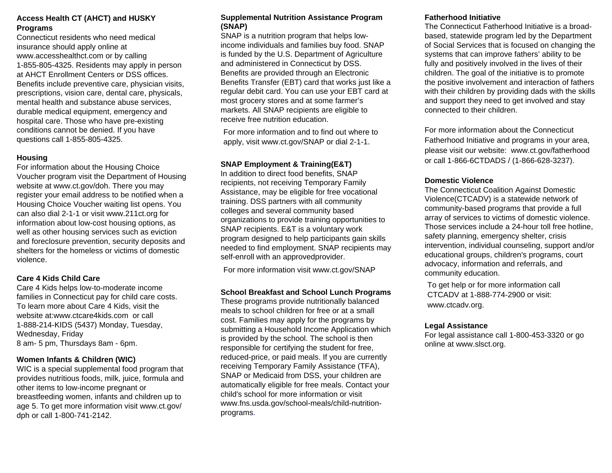# **Access Health CT (AHCT) and HUSKY Programs**

Connecticut residents who need medical insurance should apply online at www.accesshealthct.com or by calling 1-855-805-4325. Residents may apply in person at AHCT Enrollment Centers or DSS offices. Benefits include preventive care, physician visits, prescriptions, vision care, dental care, physicals, mental health and substance abuse services, durable medical equipment, emergency and hospital care. Those who have pre-existing conditions cannot be denied. If you have questions call 1-855-805-4325.

## **Housing**

For information about the Housing Choice Voucher program visit the Department of Housing website at www.ct.gov/doh. There you may register your email address to be notified when a Housing Choice Voucher waiting list opens. You can also dial 2-1-1 or visit www.211ct.org for information about low-cost housing options, as well as other housing services such as eviction and foreclosure prevention, security deposits and shelters for the homeless or victims of domestic violence.

# **Care 4 Kids Child Care**

Care 4 Kids helps low-to-moderate income families in Connecticut pay for child care costs. To learn more about Care 4 Kids, visit the website at:www.ctcare4kids.com or call 1-888-214-KIDS (5437) Monday, Tuesday, Wednesday, Friday 8 am- 5 pm, Thursdays 8am - 6pm.

# **Women Infants & Children (WIC)**

WIC is a special supplemental food program that provides nutritious foods, milk, juice, formula and other items to low-income pregnant or breastfeeding women, infants and children up to age 5. To get more information visit www.ct.gov/ dph or call 1-800-741-2142.

## **Supplemental Nutrition Assistance Program (SNAP)**

SNAP is a nutrition program that helps lowincome individuals and families buy food. SNAP is funded by the U.S. Department of Agriculture and administered in Connecticut by DSS. Benefits are provided through an Electronic Benefits Transfer (EBT) card that works just like a regular debit card. You can use your EBT card at most grocery stores and at some farmer's markets. All SNAP recipients are eligible to receive free nutrition education.

For more information and to find out where to apply, visit www.ct.gov/SNAP or dial 2-1-1.

# **SNAP Employment & Training(E&T)**

In addition to direct food benefits, SNAP recipients, not receiving Temporary Family Assistance, may be eligible for free vocational training. DSS partners with all community colleges and several community based organizations to provide training opportunities to SNAP recipients. E&T is a voluntary work program designed to help participants gain skills needed to find employment. SNAP recipients may self-enroll with an approvedprovider.

For more information visit www.ct.gov/SNAP

# **School Breakfast and School Lunch Programs**

These programs provide nutritionally balanced meals to school children for free or at a small cost. Families may apply for the programs by submitting a Household Income Application which is provided by the school. The school is then responsible for certifying the student for free, reduced-price, or paid meals. If you are currently receiving Temporary Family Assistance (TFA), SNAP or Medicaid from DSS, your children are automatically eligible for free meals. Contact your child's school for more information or visit www.fns.usda.gov/school-meals/child-nutritionprograms.

# **Fatherhood Initiative**

The Connecticut Fatherhood Initiative is a broadbased, statewide program led by the Department of Social Services that is focused on changing the systems that can improve fathers' ability to be fully and positively involved in the lives of their children. The goal of the initiative is to promote the positive involvement and interaction of fathers with their children by providing dads with the skills and support they need to get involved and stay connected to their children.

For more information about the Connecticut Fatherhood Initiative and programs in your area, please visit our website: www.ct.gov/fatherhood or call 1-866-6CTDADS / (1-866-628-3237).

## **Domestic Violence**

The Connecticut Coalition Against Domestic Violence(CTCADV) is a statewide network of community-based programs that provide a full array of services to victims of domestic violence. Those services include a 24-hour toll free hotline, safety planning, emergency shelter, crisis intervention, individual counseling, support and/or educational groups, children's programs, court advocacy, information and referrals, and community education.

To get help or for more information call CTCADV at 1-888-774-2900 or visit: www.ctcadv.org.

## **Legal Assistance**

For legal assistance call 1-800-453-3320 or go online at www.slsct.org.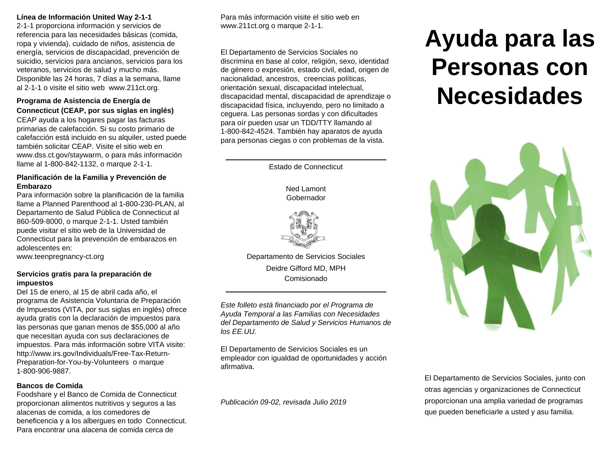## **Línea de Información United Way 2-1-1**

2-1-1 proporciona información y servicios de referencia para las necesidades básicas (comida, ropa y vivienda), cuidado de niños, asistencia de energía, servicios de discapacidad, prevención de suicidio, servicios para ancianos, servicios para los veteranos, servicios de salud y mucho más. Disponible las 24 horas, 7 días a la semana, llame al 2-1-1 o visite el sitio web www.211ct.org.

## **Programa de Asistencia de Energía de Connecticut (CEAP, por sus siglas en inglés)**

CEAP ayuda a los hogares pagar las facturas primarias de calefacción. Si su costo primario de calefacción está incluido en su alquiler, usted puede también solicitar CEAP. Visite el sitio web en www.dss.ct.gov/staywarm, o para más información llame al 1-800-842-1132, o marque 2-1-1.

## **Planificación de la Familia y Prevención de Embarazo**

Para información sobre la planificación de la familia llame a Planned Parenthood al 1-800-230-PLAN, al Departamento de Salud Pública de Connecticut al 860-509-8000, o marque 2-1-1. Usted también puede visitar el sitio web de la Universidad de Connecticut para la prevención de embarazos en adolescentes en:

www.teenpregnancy-ct.org

## **Servicios gratis para la preparación de impuestos**

Del 15 de enero, al 15 de abril cada año, el programa de Asistencia Voluntaria de Preparación de Impuestos (VITA, por sus siglas en inglés) ofrece ayuda gratis con la declaración de impuestos para las personas que ganan menos de \$55,000 al año que necesitan ayuda con sus declaraciones de impuestos. Para más información sobre VITA visite: http://www.irs.gov/Individuals/Free-Tax-Return-Preparation-for-You-by-Volunteers o marque 1-800-906-9887.

## **Bancos de Comida**

Foodshare y el Banco de Comida de Connecticut proporcionan alimentos nutritivos y seguros a las alacenas de comida, a los comedores de beneficencia y a los albergues en todo Connecticut. Para encontrar una alacena de comida cerca de

Para más información visite el sitio web en www.211ct.org o marque 2-1-1.

El Departamento de Servicios Sociales no discrimina en base al color, religión, sexo, identidad de género o expresión, estado civil, edad, origen de nacionalidad, ancestros, creencias políticas, orientación sexual, discapacidad intelectual, discapacidad mental, discapacidad de aprendizaje o discapacidad física, incluyendo, pero no limitado a ceguera. Las personas sordas y con dificultades para oír pueden usar un TDD/TTY llamando al 1-800-842-4524. También hay aparatos de ayuda para personas ciegas o con problemas de la vista.

Estado de Connecticut

Ned Lamont Gobernador



Departamento de Servicios Sociales Deidre Gifford MD, MPH Comisionado

*Este folleto está financiado por el Programa de Ayuda Temporal a las Familias con Necesidades del Departamento de Salud y Servicios Humanos de los EE.UU.* 

El Departamento de Servicios Sociales es un empleador con igualdad de oportunidades y acción afirmativa.

*Publicación 09-02, revisada Julio 2019* 

# **Ayuda para las Personas con Necesidades**



El Departamento de Servicios Sociales, junto con otras agencias y organizaciones de Connecticut proporcionan una amplia variedad de programas que pueden beneficiarle a usted y asu familia.